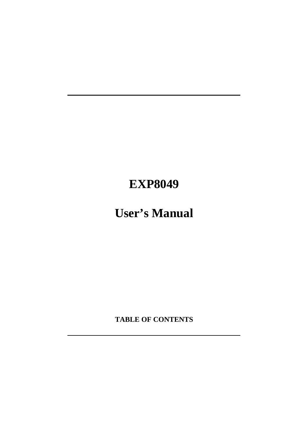# **EXP8049**

# **User's Manual**

**TABLE OF CONTENTS**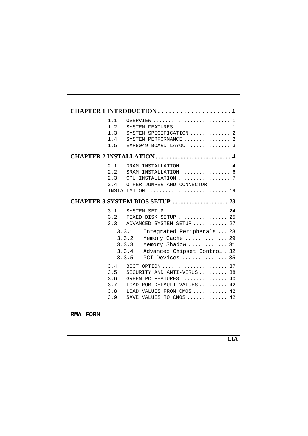|                                        | CHAPTER 1 INTRODUCTION 1                                                                                                                                                                                  |
|----------------------------------------|-----------------------------------------------------------------------------------------------------------------------------------------------------------------------------------------------------------|
| 1.1<br>1.2<br>1.3<br>1.4<br>1.5        | OVERVIEW 1<br>SYSTEM FEATURES  1<br>SYSTEM SPECIFICATION  2<br>SYSTEM PERFORMANCE  2<br>EXP8049 BOARD LAYOUT  3                                                                                           |
|                                        |                                                                                                                                                                                                           |
| 2.1<br>2.2<br>2.3<br>2.4               | DRAM INSTALLATION  4<br>SRAM INSTALLATION  6<br>CPU INSTALLATION  7<br>OTHER JUMPER AND CONNECTOR                                                                                                         |
|                                        |                                                                                                                                                                                                           |
| 3.1<br>3.2<br>3.3                      | SYSTEM SETUP  24<br>FIXED DISK SETUP  25<br>ADVANCED SYSTEM SETUP  27                                                                                                                                     |
|                                        | 3.3.1<br>Integrated Peripherals  28<br>Memory Cache  29<br>3.3.2<br>3.3.3<br>Memory Shadow  31<br>Advanced Chipset Control . 32<br>3.3.4<br>3.3.5<br>PCI Devices  35                                      |
| 3.4<br>3.5<br>3.6<br>3.7<br>3.8<br>3.9 | BOOT OPTION $\ldots \ldots \ldots \ldots \ldots \ldots 37$<br>SECURITY AND ANTI-VIRUS  38<br>GREEN PC FEATURES  40<br>LOAD ROM DEFAULT VALUES  42<br>LOAD VALUES FROM CMOS  42<br>SAVE VALUES TO CMOS  42 |

**RMA FORM**

**1.1A**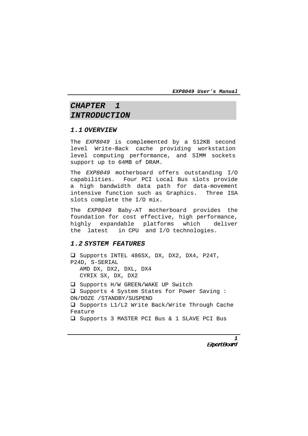# **CHAPTER 1 INTRODUCTION**

#### **1.1 OVERVIEW**

The EXP8049 is complemented by a 512KB second level Write-Back cache providing workstation level computing performance, and SIMM sockets support up to 64MB of DRAM.

The EXP8049 motherboard offers outstanding I/O capabilities. Four PCI Local Bus slots provide a high bandwidth data path for data-movement intensive function such as Graphics. Three ISA slots complete the I/O mix.

The EXP8049 Baby-AT motherboard provides the foundation for cost effective, high performance, highly expandable platforms which deliver the latest in CPU and I/O technologies.

#### **1.2 SYSTEM FEATURES**

! Supports INTEL 486SX, DX, DX2, DX4, P24T, P24D, S-SERIAL AMD DX, DX2, DXL, DX4 CYRIX SX, DX, DX2  $\Box$  Supports H/W GREEN/WAKE UP Switch ! Supports 4 System States for Power Saving : ON/DOZE /STANDBY/SUSPEND  $\Box$  Supports L1/L2 Write Back/Write Through Cache Feature

! Supports 3 MASTER PCI Bus & 1 SLAVE PCI Bus

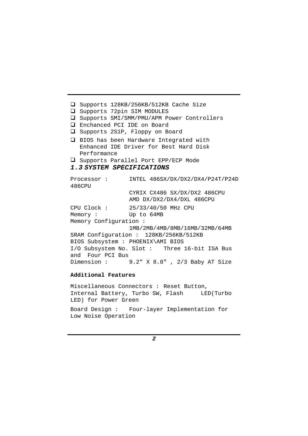□ Supports 128KB/256KB/512KB Cache Size ! Supports 72pin SIM MODULES ! Supports SMI/SMM/PMU/APM Power Controllers ! Enchanced PCI IDE on Board □ Supports 2S1P, Floppy on Board □ BIOS has been Hardware Integrated with Enhanced IDE Driver for Best Hard Disk Performance ! Supports Parallel Port EPP/ECP Mode **1.3 SYSTEM SPECIFICATIONS** Processor : INTEL 486SX/DX/DX2/DX4/P24T/P24D 486CPU CYRIX CX486 SX/DX/DX2 486CPU AMD DX/DX2/DX4/DXL 486CPU CPU Clock : 25/33/40/50 MHz CPU Memory : Up to 64MB Memory Configuration : 1MB/2MB/4MB/8MB/16MB/32MB/64MB SRAM Configuration : 128KB/256KB/512KB BIOS Subsystem : PHOENIX\AMI BIOS I/O Subsystem No. Slot : Three 16-bit ISA Bus and Four PCI Bus Dimension : 9.2" X 8.8" , 2/3 Baby AT Size

#### **Additional Features**

Miscellaneous Connectors : Reset Button, Internal Battery, Turbo SW, Flash LED(Turbo LED) for Power Green

Board Design : Four-layer Implementation for Low Noise Operation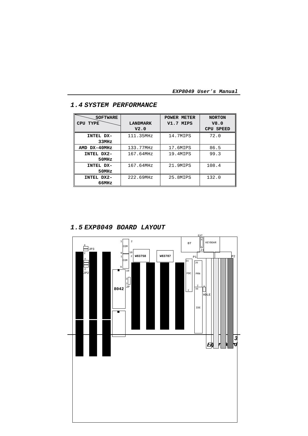| <b>SOFTWARE</b>           |                 | <b>POWER METER</b> | <b>NORTON</b>       |
|---------------------------|-----------------|--------------------|---------------------|
| <b>TYPE</b><br><b>CPU</b> | <b>LANDMARK</b> | V1.7 MIPS          | V8.0                |
|                           | V2.0            |                    | <b>SPEED</b><br>CPU |
| INTEL DX-                 | 111.35MHz       | 14.7MIPS           | 72.0                |
| 33MHz                     |                 |                    |                     |
| AMD DX-40MHz              | 133.77MHz       | 17.6MIPS           | 86.5                |
| INTEL DX2-                | 167.64MHz       | 19.4MIPS           | 99.3                |
| 50MHz                     |                 |                    |                     |
| INTEL DX-                 | 167.64MHz       | 21.9MIPS           | 108.4               |
| 50MHz                     |                 |                    |                     |
| INTEL DX2-                | 222.69MHz       | 25.8MIPS           | 132.0               |
| 66MHz                     |                 |                    |                     |

## **1.4 SYSTEM PERFORMANCE**

**1.5 EXP8049 BOARD LAYOUT**

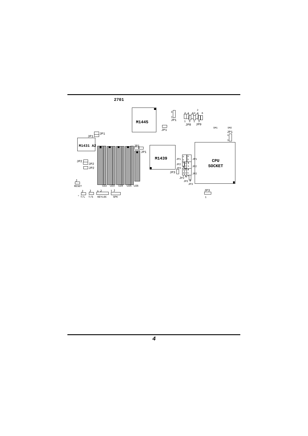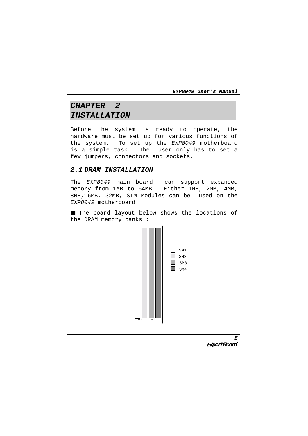# **CHAPTER 2 INSTALLATION**

Before the system is ready to operate, the hardware must be set up for various functions of the system. To set up the EXP8049 motherboard is a simple task. The user only has to set a few jumpers, connectors and sockets.

#### **2.1 DRAM INSTALLATION**

The EXP8049 main board can support expanded memory from 1MB to 64MB. Either 1MB, 2MB, 4MB, 8MB,16MB, 32MB, SIM Modules can be used on the EXP8049 motherboard.

■ The board layout below shows the locations of the DRAM memory banks :



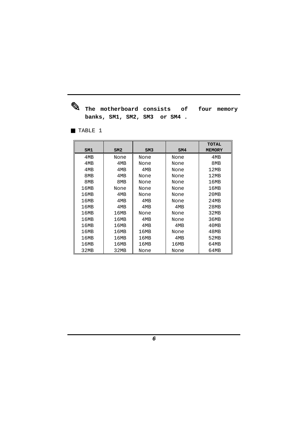✎ **The motherboard consists of four memory banks, SM1, SM2, SM3 or SM4 .**

■ TABLE 1

|      |                 |      |      | <b>TOTAL</b>  |
|------|-----------------|------|------|---------------|
| SM1  | SM2             | SM3  | SM4  | <b>MEMORY</b> |
| 4MB  | None            | None | None | 4MB           |
| 4MB  | 4M <sub>R</sub> | None | None | 8MB           |
| 4MB  | 4MB             | 4MB  | None | 12MB          |
| 8MB  | 4MB             | None | None | 12MB          |
| 8MB  | 8MB             | None | None | 16MB          |
| 16MB | None            | None | None | 16MB          |
| 16MB | 4MB             | None | None | 20MB          |
| 16MB | 4M <sub>R</sub> | 4MB  | None | 24MB          |
| 16MB | 4MB             | 4MB  | 4MB  | 28MB          |
| 16MB | 16MB            | None | None | 32MB          |
| 16MB | 16MB            | 4MB  | None | 36MB          |
| 16MB | 16MB            | 4MB  | 4MB  | 40MB          |
| 16MB | 16MB            | 16MB | None | 48MB          |
| 16MB | 16MB            | 16MB | 4MB  | 52MB          |
| 16MB | 16MB            | 16MB | 16MB | 64MB          |
| 32MB | 32MB            | None | None | 64MB          |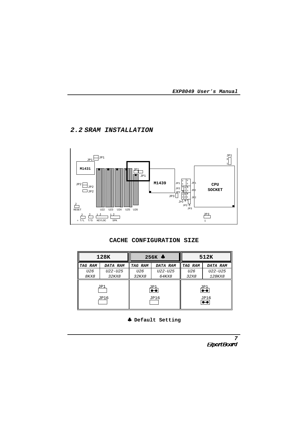# **2.2 SRAM INSTALLATION**





| 128K        |          | 256K $\clubsuit$                      |          | 512K    |                                       |
|-------------|----------|---------------------------------------|----------|---------|---------------------------------------|
| TAG RAM     | DATA RAM | TAG RAM                               | DATA RAM | TAG RAM | DATA RAM                              |
| U26         | U22-U25  | U <sub>26</sub>                       | U22-U25  | U26     | U22-U25                               |
| 8KX8        | 32KX8    | 32KX8                                 | 64KX8    | 32X8    | <i>128KX8</i>                         |
| JP1<br>JP16 |          | $\frac{JPI}{\bullet \bullet}$<br>JP16 |          |         | $\frac{JPI}{\bullet \bullet}$<br>JP16 |
|             |          |                                       |          |         | $\bullet\bullet$                      |

♣ **Default Setting**

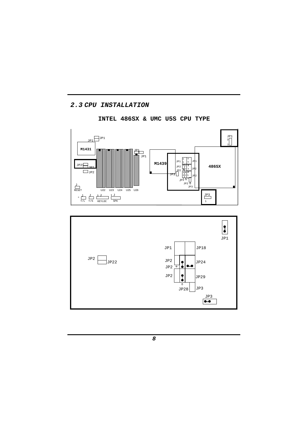# **2.3 CPU INSTALLATION**

# **INTEL 486SX & UMC U5S CPU TYPE**



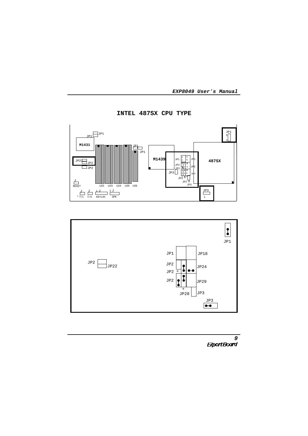

**INTEL 487SX CPU TYPE**



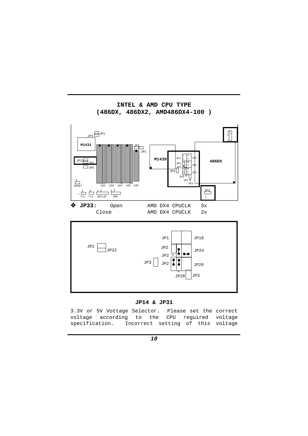

**INTEL & AMD CPU TYPE (486DX, 486DX2, AMD486DX4-100 )**

#### **JP14 & JP31**

3.3V or 5V Vottage Selector. Please set the correct voltage according to the CPU reguired voltage specification. Incorrect setting of this voltage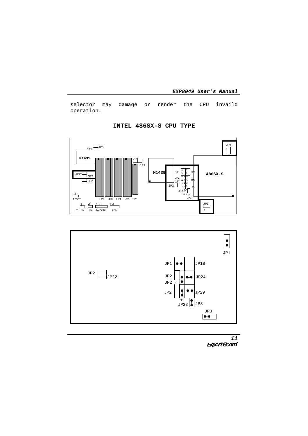selector may damage or render the CPU invaild operation.



**INTEL 486SX-S CPU TYPE**



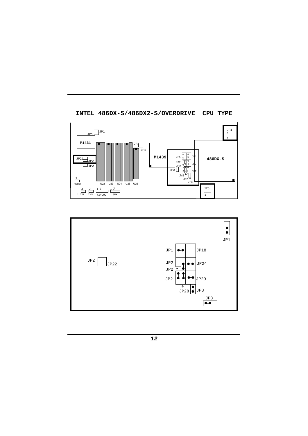

**INTEL 486DX-S/486DX2-S/OVERDRIVE CPU TYPE**

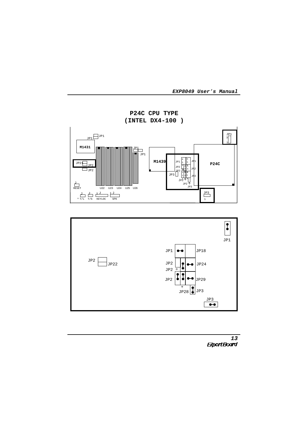

**P24C CPU TYPE (INTEL DX4-100 )**



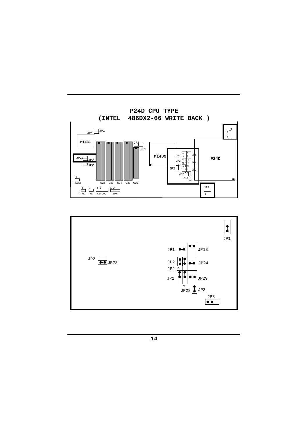

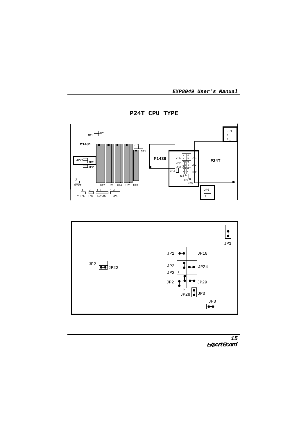





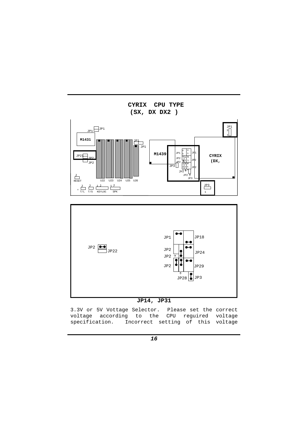



3.3V or 5V Vottage Selector. Please set the correct voltage according to the CPU reguired voltage specification. Incorrect setting of this voltage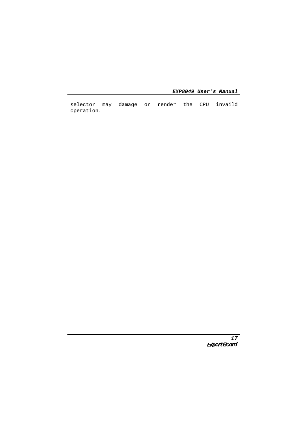selector may damage or render the CPU invaild operation.

<sup>17</sup><br>ExpertBoard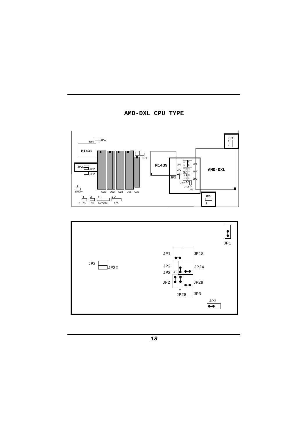



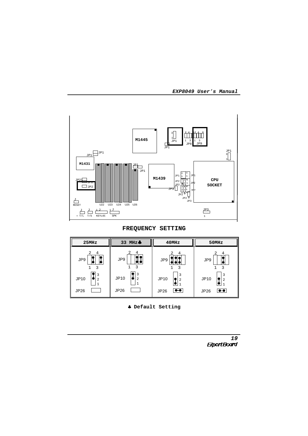

**FREQUENCY SETTING**



♣ **Default Setting**

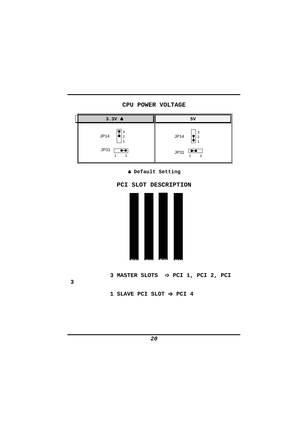

**CPU POWER VOLTAGE**

♣ **Default Setting**



**<sup>1</sup> SLAVE PCI SLOT** ➩ **PCI 4**

**3**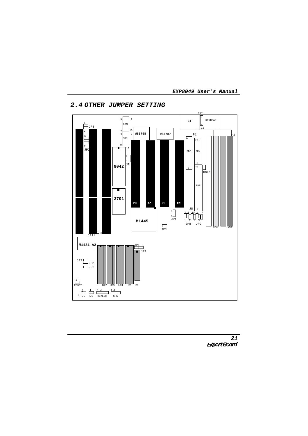

# **2.4 OTHER JUMPER SETTING**



**EXP8049 User**'**s Manual**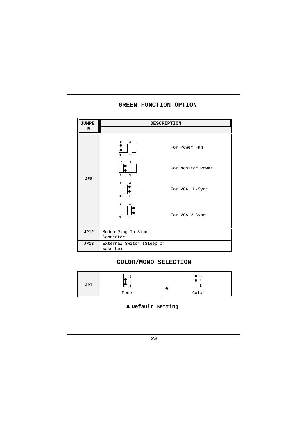# **GREEN FUNCTION OPTION**

| <b>JUMPE</b>    | <b>DESCRIPTION</b>                                                      |                   |  |
|-----------------|-------------------------------------------------------------------------|-------------------|--|
| R               |                                                                         |                   |  |
|                 | 2<br>4<br>$\mathbf{1}$<br>$\overline{\mathbf{3}}$                       | For Power Fan     |  |
| J <sub>P8</sub> | $\mathbf{1}$<br>3                                                       | For Monitor Power |  |
|                 | $\overline{a}$<br>$\mathbf{1}$<br>$\overline{3}$                        | For VGA H-Sync    |  |
|                 | $\overline{\mathbf{2}}$<br>4<br>$\mathbf{1}$<br>$\overline{\mathbf{3}}$ | For VGA V-Sync    |  |
| <b>JP12</b>     | Modem Ring-In Signal<br>Connector                                       |                   |  |
| JP13            | External Switch (Sleep or<br>Wake Up)                                   |                   |  |

# **COLOR/MONO SELECTION**

| JP7 |      |       |
|-----|------|-------|
|     | Mono | Color |

♣ **Default Setting**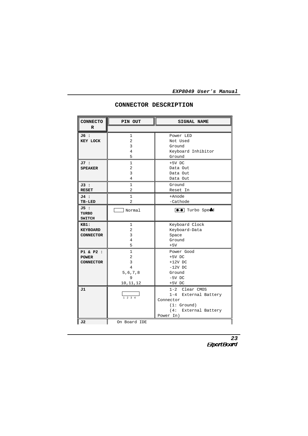| <b>CONNECTO</b>                               | PIN OUT                                           | <b>SIGNAL NAME</b>                                                                                      |
|-----------------------------------------------|---------------------------------------------------|---------------------------------------------------------------------------------------------------------|
| $\mathbb{R}$                                  |                                                   |                                                                                                         |
| J6 :<br>KEY LOCK                              | 1<br>2<br>3<br>4<br>5                             | Power LED<br>Not Used<br>Ground<br>Keyboard Inhibitor<br>Ground                                         |
| J7 :<br><b>SPEAKER</b>                        | 1<br>$\overline{a}$<br>3<br>4                     | $+5V$ DC<br>Data Out<br>Data Out<br>Data Out                                                            |
| J3 :<br><b>RESET</b>                          | 1<br>2                                            | Ground<br>Reset In                                                                                      |
| J4 :<br>TB-LED                                | 1<br>$\overline{a}$                               | +Anode<br>-Cathode                                                                                      |
| J5 :<br><b>TURBO</b><br><b>SWITCH</b>         | Normal                                            | <b>00</b> Turbo Speed                                                                                   |
| KB1:<br><b>KEYBOARD</b><br><b>CONNECTOR</b>   | 1<br>2<br>3<br>4<br>5                             | Keyboard Clock<br>Keyboard-Data<br>Space<br>Ground<br>$+5V$                                             |
| P1 & P2 :<br><b>POWER</b><br><b>CONNECTOR</b> | 1<br>2<br>3<br>4<br>5, 6, 7, 8<br>9<br>10, 11, 12 | Power Good<br>$+5V$ DC<br>$+12V$ DC<br>$-12V$ DC<br>Ground<br>$-5V$ DC<br>$+5V$ DC                      |
| J1<br>J2                                      | $1 \t2 \t3 \t4$<br>On Board IDE                   | 1-2 Clear CMOS<br>1-4 External Battery<br>Connector<br>(1: Ground)<br>(4: External Battery<br>Power In) |

#### **CONNECTOR DESCRIPTION**

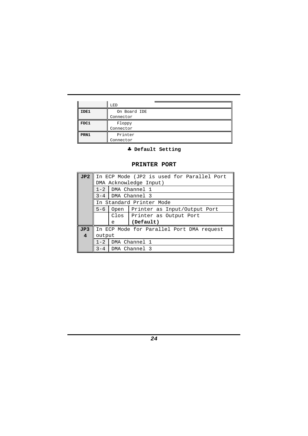|      | LED          |
|------|--------------|
| IDE1 | On Board IDE |
|      | Connector    |
| FDC1 | Floppy       |
|      | Connector    |
| PRN1 | Printer      |
|      | Connector    |

♣ **Default Setting**

## **PRINTER PORT**

| JP2              | In ECP Mode (JP2 is used for Parallel Port |                                           |                                   |  |  |  |  |
|------------------|--------------------------------------------|-------------------------------------------|-----------------------------------|--|--|--|--|
|                  |                                            | DMA Acknowledge Input)                    |                                   |  |  |  |  |
|                  | $1 - 2$                                    |                                           | DMA Channel 1                     |  |  |  |  |
|                  | $3 - 4$                                    |                                           | DMA Channel 3                     |  |  |  |  |
|                  |                                            | In Standard Printer Mode                  |                                   |  |  |  |  |
|                  | $5 - 6$                                    |                                           | Open Printer as Input/Output Port |  |  |  |  |
|                  |                                            |                                           | Clos   Printer as Output Port     |  |  |  |  |
|                  |                                            | e                                         | (Default)                         |  |  |  |  |
| J <sub>P</sub> 3 |                                            | In ECP Mode for Parallel Port DMA request |                                   |  |  |  |  |
| 4                | output                                     |                                           |                                   |  |  |  |  |
|                  | $1 - 2$                                    |                                           | DMA Channel 1                     |  |  |  |  |
|                  | $3 - 4$                                    |                                           | DMA Channel 3                     |  |  |  |  |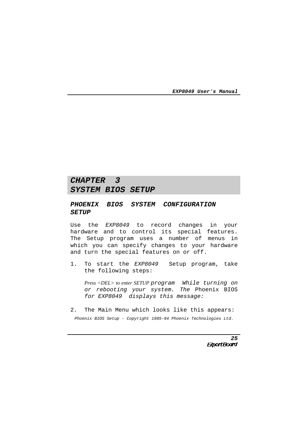# **CHAPTER 3 SYSTEM BIOS SETUP**

## **PHOENIX BIOS SYSTEM CONFIGURATION SETUP**

Use the EXP8049 to record changes in your hardware and to control its special features. The Setup program uses a number of menus in which you can specify changes to your hardware and turn the special features on or off.

1. To start the EXP8049 Setup program, take the following steps:

*Press <DEL> to enter SETUP* program While turning on or rebooting your system. The Phoenix BIOS for EXP8049 displays this message:

2. The Main Menu which looks like this appears: Phoenix BIOS Setup - Copyright 1985-94 Phoenix Technologies Ltd.

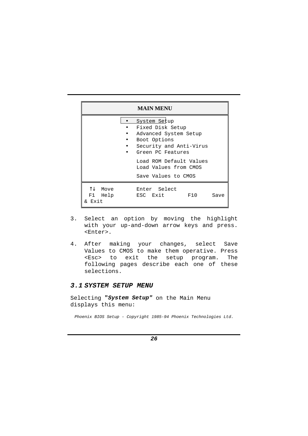|                                                 | <b>MAIN MENU</b>                                                                                                                                                                                     |      |
|-------------------------------------------------|------------------------------------------------------------------------------------------------------------------------------------------------------------------------------------------------------|------|
|                                                 | System Setup<br>Fixed Disk Setup<br>Advanced System Setup<br>Boot Options<br>Security and Anti-Virus<br>Green PC Features<br>Load ROM Default Values<br>Load Values from CMOS<br>Save Values to CMOS |      |
| $\uparrow \downarrow$ Move<br>F1 Help<br>& Exit | Enter Select<br>ESC Exit<br><b>F10</b>                                                                                                                                                               | Save |

- 3. Select an option by moving the highlight with your up-and-down arrow keys and press. <Enter>.
- 4. After making your changes, select Save Values to CMOS to make them operative. Press <Esc> to exit the setup program. The following pages describe each one of these selections.

#### **3.1 SYSTEM SETUP MENU**

Selecting **"System Setup"** on the Main Menu displays this menu:

Phoenix BIOS Setup - Copyright 1985-94 Phoenix Technologies Ltd.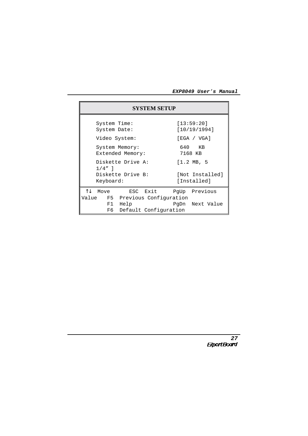|                                    | <b>SYSTEM SETUP</b>                                                            |
|------------------------------------|--------------------------------------------------------------------------------|
| System Time:<br>System Date:       | [13:59:20]<br>[10/19/1994]                                                     |
| Video System:                      | [EGA / VGA]                                                                    |
| System Memory:<br>Extended Memory: | 640 KB<br>7168 KB                                                              |
| Diskette Drive A:<br>$1/4"$ ]      | $[1.2 \, MB, 5]$                                                               |
| Diskette Drive B:                  | [Not Installed]                                                                |
| Keyboard:                          | [Installed]                                                                    |
| T.L<br>Move                        | ESC Exit PqUp Previous                                                         |
| F1 Help                            | Value F5 Previous Configuration<br>PqDn Next Value<br>F6 Default Configuration |

<sup>27</sup><br>ExpertBoard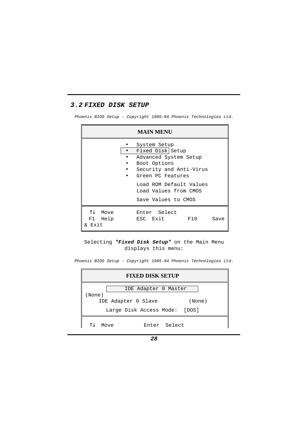## **3.2 FIXED DISK SETUP**

Phoenix BIOS Setup - Copyright 1985-94 Phoenix Technologies Ltd.

|                                 | <b>MAIN MENU</b>                                                                                                                                                                                     |      |
|---------------------------------|------------------------------------------------------------------------------------------------------------------------------------------------------------------------------------------------------|------|
|                                 | System Setup<br>Fixed Disk Setup<br>Advanced System Setup<br>Boot Options<br>Security and Anti-Virus<br>Green PC Features<br>Load ROM Default Values<br>Load Values from CMOS<br>Save Values to CMOS |      |
| ↑J<br>Move<br>F1 Help<br>& Exit | Enter Select<br>ESC Exit<br>F10                                                                                                                                                                      | Save |

#### Selecting **"Fixed Disk Setup"** on the Main Menu displays this menu:

Phoenix BIOS Setup - Copyright 1985-94 Phoenix Technologies Ltd.

| <b>FIXED DISK SETUP</b>        |  |  |  |  |  |  |
|--------------------------------|--|--|--|--|--|--|
| IDE Adapter 0 Master<br>(None) |  |  |  |  |  |  |
| IDE Adapter 0 Slave<br>(None)  |  |  |  |  |  |  |
| Large Disk Access Mode: [DOS]  |  |  |  |  |  |  |
| Enter Select<br>Move           |  |  |  |  |  |  |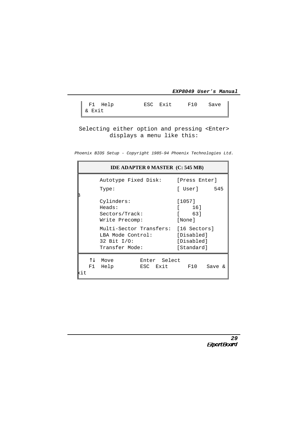| F1 Help<br>& Exit | ESC Exit | $F10$ Save $\parallel$ |  |
|-------------------|----------|------------------------|--|
|                   |          |                        |  |

Selecting either option and pressing <Enter> displays a menu like this:

Phoenix BIOS Setup - Copyright 1985-94 Phoenix Technologies Ltd.

|                   | <b>IDE ADAPTER 0 MASTER (C: 545 MB)</b>                                                       |                                        |
|-------------------|-----------------------------------------------------------------------------------------------|----------------------------------------|
|                   | Autotype Fixed Disk: [Press Enter]                                                            |                                        |
|                   | Type:                                                                                         | [ User] 545                            |
|                   | Cylinders:<br>Heads:<br>Sectors/Track:<br>Write Precomp:                                      | [1057]<br>16]<br>[ 63]<br>[None]       |
|                   | Multi-Sector Transfers: [16 Sectors]<br>LBA Mode Control:<br>32 Bit $I/O$ :<br>Transfer Mode: | [Disabled]<br>[Disabled]<br>[Standard] |
| T.L<br>F1.<br>kit | Move<br>Enter Select<br>ESC Exit<br>Help                                                      | F10<br>Save &                          |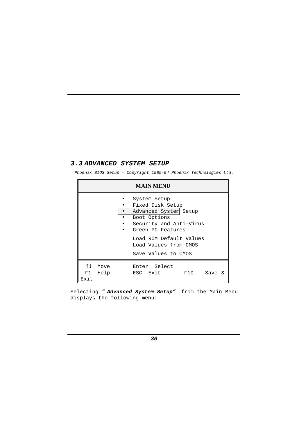#### **3.3 ADVANCED SYSTEM SETUP**

Phoenix BIOS Setup - Copyright 1985-94 Phoenix Technologies Ltd.

| <b>MAIN MENU</b>                                                                                                                                                                                                  |                                           |  |  |  |  |  |  |
|-------------------------------------------------------------------------------------------------------------------------------------------------------------------------------------------------------------------|-------------------------------------------|--|--|--|--|--|--|
| System Setup<br>Fixed Disk Setup<br>Advanced System Setup<br>$\bullet$<br>Boot Options<br>Security and Anti-Virus<br>Green PC Features<br>Load ROM Default Values<br>Load Values from CMOS<br>Save Values to CMOS |                                           |  |  |  |  |  |  |
| ↑↓<br>Move<br>F1 I<br>Help<br>Exit                                                                                                                                                                                | Enter Select<br>ESC Exit<br>F10<br>Save & |  |  |  |  |  |  |

Selecting **" Advanced System Setup"** from the Main Menu displays the following menu: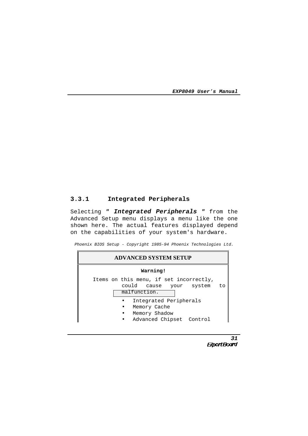## **3.3.1 Integrated Peripherals**

Selecting **" Integrated Peripherals "** from the Advanced Setup menu displays a menu like the one shown here. The actual features displayed depend on the capabilities of your system's hardware.

Phoenix BIOS Setup - Copyright 1985-94 Phoenix Technologies Ltd.



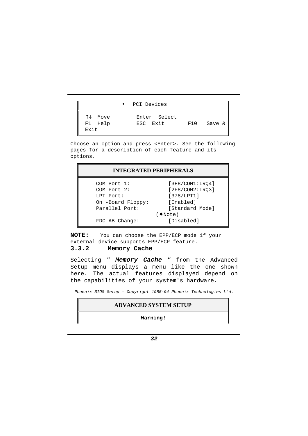|                                                 | PCI Devices<br>$\bullet$ |     |        |
|-------------------------------------------------|--------------------------|-----|--------|
| $\uparrow\downarrow$<br>Move<br>F1 Help<br>Exit | Enter Select<br>ESC Exit | F10 | Save & |

Choose an option and press <Enter>. See the following pages for a description of each feature and its options.

| <b>INTEGRATED PERIPHERALS</b> |                 |  |  |  |  |
|-------------------------------|-----------------|--|--|--|--|
| COM Port 1:                   | [3F8/COM1:IRO4] |  |  |  |  |
| COM Port 2:                   | [2F8/COM2:IRQ3] |  |  |  |  |
| LPT Port:                     | [378/LPT1]      |  |  |  |  |
| On -Board Floppy:             | [Enabled]       |  |  |  |  |
| Parallel Port:                | [Standard Mode] |  |  |  |  |
|                               | $(*Note)$       |  |  |  |  |
| FDC AB Change:                | [Disabled]      |  |  |  |  |

**NOTE:** You can choose the EPP/ECP mode if your external device supports EPP/ECP feature.

#### **3.3.2 Memory Cache**

Selecting **" Memory Cache "** from the Advanced Setup menu displays a menu like the one shown here. The actual features displayed depend on the capabilities of your system's hardware.

Phoenix BIOS Setup - Copyright 1985-94 Phoenix Technologies Ltd.

#### **ADVANCED SYSTEM SETUP**

**Warning!**

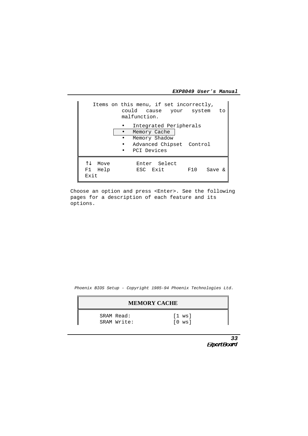|                                | Items on this menu, if set incorrectly,<br>could cause your system<br>to<br>malfunction.           |
|--------------------------------|----------------------------------------------------------------------------------------------------|
|                                | Integrated Peripherals<br>Memory Cache<br>Memory Shadow<br>Advanced Chipset Control<br>PCI Devices |
| ΥT.<br>Move<br>F1 Help<br>Exit | Enter Select<br>ESC Exit<br>F10<br>Save &                                                          |

Choose an option and press <Enter>. See the following pages for a description of each feature and its options.

Phoenix BIOS Setup - Copyright 1985-94 Phoenix Technologies Ltd.

| <b>MEMORY CACHE</b> |                           |                      |  |  |  |
|---------------------|---------------------------|----------------------|--|--|--|
|                     | SRAM Read:<br>SRAM Write: | $[1$ ws]<br>$[0$ ws] |  |  |  |

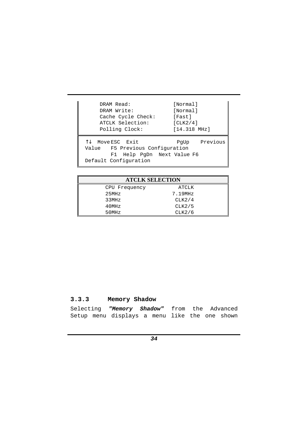| DRAM Read:                                                                                              | [Normal]          |
|---------------------------------------------------------------------------------------------------------|-------------------|
| DRAM Write:                                                                                             | [Normal]          |
| Cache Cycle Check:                                                                                      | [Fast]            |
| ATCLK Selection:                                                                                        | [CLK2/4]          |
| Polling Clock:                                                                                          | $[14.318 \, MHz]$ |
| Move ESC Exit<br>Value F5 Previous Configuration<br>F1 Help PqDn Next Value F6<br>Default Configuration | PgUp Previous     |

| <b>ATCLK SELECTION</b> |         |  |  |  |  |
|------------------------|---------|--|--|--|--|
| CPU Frequency          | ATCLK   |  |  |  |  |
| 25MHz                  | 7.19MHz |  |  |  |  |
| 33MHz                  | CLK2/4  |  |  |  |  |
| 40MHz                  | CLK2/5  |  |  |  |  |
| 50MHz                  | CLK2/6  |  |  |  |  |

# **3.3.3 Memory Shadow**

|  | Selecting "Memory Shadow" from the Advanced   |  |  |  |
|--|-----------------------------------------------|--|--|--|
|  | Setup menu displays a menu like the one shown |  |  |  |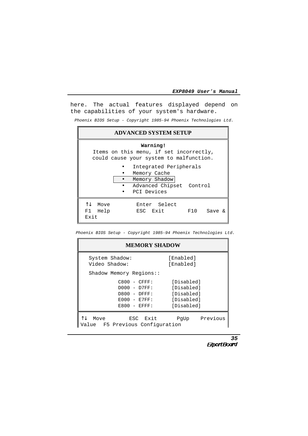here. The actual features displayed depend on the capabilities of your system's hardware.

Phoenix BIOS Setup - Copyright 1985-94 Phoenix Technologies Ltd.

| <b>ADVANCED SYSTEM SETUP</b>                                                                                                                                                                         |        |  |  |  |  |  |  |
|------------------------------------------------------------------------------------------------------------------------------------------------------------------------------------------------------|--------|--|--|--|--|--|--|
| Warning!<br>Items on this menu, if set incorrectly,<br>could cause your system to malfunction.<br>Integrated Peripherals<br>Memory Cache<br>Memory Shadow<br>Advanced Chipset Control<br>PCI Devices |        |  |  |  |  |  |  |
| T.L<br>Move<br>Enter Select<br>ESC Exit<br>F1 Help<br>F10<br><b>Exit</b>                                                                                                                             | Save & |  |  |  |  |  |  |

Phoenix BIOS Setup - Copyright 1985-94 Phoenix Technologies Ltd.

| <b>MEMORY SHADOW</b>                                                                      |                                                                    |          |  |
|-------------------------------------------------------------------------------------------|--------------------------------------------------------------------|----------|--|
| System Shadow:<br>Video Shadow:                                                           | [Enabled]<br>[Enabled]                                             |          |  |
| Shadow Memory Regions::                                                                   |                                                                    |          |  |
| $C800 - CFFF:$<br>$D000 - D7FF$ :<br>$D800 - DFFF:$<br>$E000 - E7FF$ :<br>$E800 - EFFF$ : | [Disabled]<br>[Disabled]<br>[Disabled]<br>[Disabled]<br>[Disabled] |          |  |
| ESC Exit<br>Move<br>ue F5 Previous Configuration                                          | PqUp                                                               | Previous |  |

<sup>35</sup><br>ExpertBoard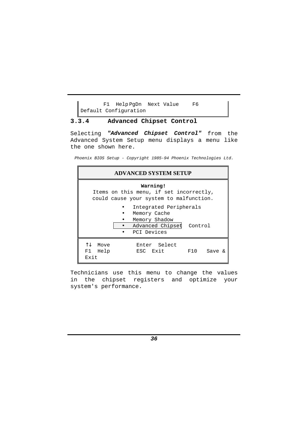F1 Help PgDn Next Value F6 Default Configuration

#### **3.3.4 Advanced Chipset Control**

Selecting **"Advanced Chipset Control"** from the Advanced System Setup menu displays a menu like the one shown here.

Phoenix BIOS Setup - Copyright 1985-94 Phoenix Technologies Ltd.

| <b>ADVANCED SYSTEM SETUP</b>                                                                       |  |  |  |  |
|----------------------------------------------------------------------------------------------------|--|--|--|--|
| Warning!<br>Items on this menu, if set incorrectly,<br>could cause your system to malfunction.     |  |  |  |  |
| Integrated Peripherals<br>Memory Cache<br>Memory Shadow<br>Advanced Chipset Control<br>PCI Devices |  |  |  |  |
| ΥŢ,<br>Move<br>Enter Select<br>ESC Exit<br>F1 Help<br>F10<br>Save $\&$<br>Exit                     |  |  |  |  |

Technicians use this menu to change the values in the chipset registers and optimize your system's performance.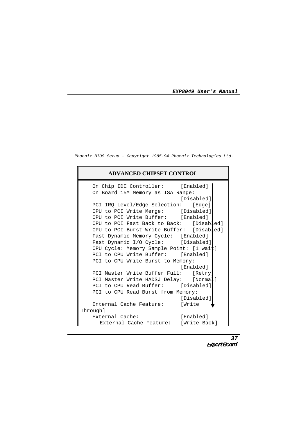Phoenix BIOS Setup - Copyright 1985-94 Phoenix Technologies Ltd.

#### **ADVANCED CHIPSET CONTROL**

| On Chip IDE Controller: [Enabled]<br>On Board 15M Memory as ISA Range: |            |
|------------------------------------------------------------------------|------------|
|                                                                        | [Disabled] |
| PCI IRQ Level/Edge Selection: [Edge]                                   |            |
| CPU to PCI Write Merge: [Disabled]                                     |            |
| CPU to PCI Write Buffer: [Enabled]                                     |            |
| CPU to PCI Fast Back to Back: [Disabled]                               |            |
| CPU to PCI Burst Write Buffer: [Disabled]                              |            |
| Fast Dynamic Memory Cycle: [Enabled]                                   |            |
| Fast Dynamic I/O Cycle: [Disabled]                                     |            |
| CPU Cycle: Memory Sample Point: [1 wait]                               |            |
| PCI to CPU Write Buffer: [Enabled]                                     |            |
| PCI to CPU Write Burst to Memory:                                      |            |
|                                                                        | [Enabled]  |
| PCI Master Write Buffer Full: [Retry]                                  |            |
| PCI Master Write HADSJ Delay: [Norma]]                                 |            |
| PCI to CPU Read Buffer: [Disabled]                                     |            |
| PCI to CPU Read Burst from Memory:                                     |            |
|                                                                        | [Disabled] |
| Internal Cache Feature:                                                | [Write     |
| Through]                                                               |            |
| External Cache:                                                        | [Enabled]  |
| External Cache Feature: [Write Back]                                   |            |

<sup>37</sup><br>**ExpertBoard**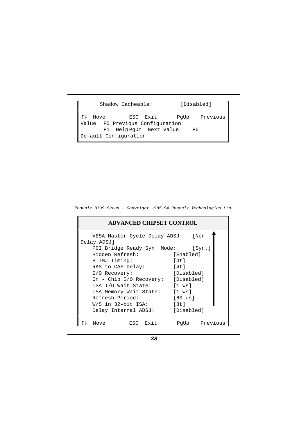| Shadow Cacheable:                                                              | [Disabled]             |
|--------------------------------------------------------------------------------|------------------------|
| Move<br>ESC Exit<br>Value F5 Previous Configuration<br>F1 Help PqDn Next Value | Previous<br>PqUp<br>F6 |
| Default Configuration                                                          |                        |

Phoenix BIOS Setup - Copyright 1985-94 Phoenix Technologies Ltd.

| <b>ADVANCED CHIPSET CONTROL</b> |                                                   |  |             |               |  |
|---------------------------------|---------------------------------------------------|--|-------------|---------------|--|
|                                 | VESA Master Cycle Delay ADSJ: [Non                |  |             |               |  |
|                                 | Delay ADSJ]<br>PCI Bridge Ready Syn. Mode: [Syn.] |  |             |               |  |
|                                 | Hidden Refresh:                                   |  | [Enabled]   |               |  |
|                                 | HITMJ Timing:                                     |  | [4t]        |               |  |
|                                 | RAS to CAS Delay:                                 |  | 14t         |               |  |
|                                 | I/O Recovery:                                     |  | [Disabled]  |               |  |
|                                 | On - Chip I/O Recovery: [Disabled]                |  |             |               |  |
|                                 | ISA I/O Wait State:                               |  | $[1$ ws $]$ |               |  |
|                                 | ISA Memory Wait State: [1 ws]                     |  |             |               |  |
|                                 | Refresh Period:                                   |  | [60 us]     |               |  |
|                                 | W/S in 32-bit ISA:                                |  | [8t]        |               |  |
|                                 | Delay Internal ADSJ: [Disabled]                   |  |             |               |  |
|                                 | ESC Exit<br>Move                                  |  |             | PqUp Previous |  |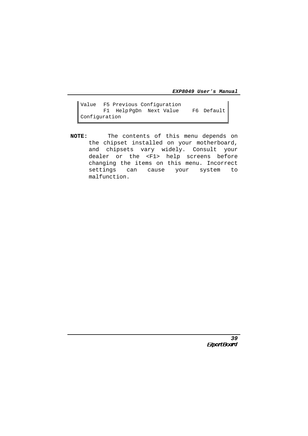Value F5 Previous Configuration F1 Help PgDn Next Value F6 Default Configuration

**NOTE:** The contents of this menu depends on the chipset installed on your motherboard, and chipsets vary widely. Consult your dealer or the <F1> help screens before changing the items on this menu. Incorrect settings can cause your system to malfunction.

39<br>**ExpertBoard**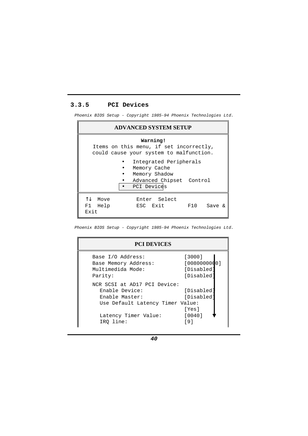## **3.3.5 PCI Devices**

Phoenix BIOS Setup - Copyright 1985-94 Phoenix Technologies Ltd.

| <b>ADVANCED SYSTEM SETUP</b>                                                                       |  |
|----------------------------------------------------------------------------------------------------|--|
| Warning!<br>Items on this menu, if set incorrectly,<br>could cause your system to malfunction.     |  |
| Integrated Peripherals<br>Memory Cache<br>Memory Shadow<br>Advanced Chipset Control<br>PCI Devices |  |
| T.L<br>Move<br>Enter Select<br>ESC Exit<br>F1 Help<br>F10<br>Save &<br>Exit                        |  |

Phoenix BIOS Setup - Copyright 1985-94 Phoenix Technologies Ltd.

| <b>PCI DEVICES</b>                                                                                                                        |                                                                                                                                                                                                                                                                                                                                                                         |  |  |
|-------------------------------------------------------------------------------------------------------------------------------------------|-------------------------------------------------------------------------------------------------------------------------------------------------------------------------------------------------------------------------------------------------------------------------------------------------------------------------------------------------------------------------|--|--|
| Base I/O Address:<br>Base Memory Address:<br>Multimedida Mode:<br>Parity:                                                                 | [3000]<br>[0080000000]<br>[Disabled<br>[Disabled                                                                                                                                                                                                                                                                                                                        |  |  |
| NCR SCSI at AD17 PCI Device:<br>Enable Device:<br>Enable Master:<br>Use Default Latency Timer Value:<br>Latency Timer Value:<br>IRO line: | [Disabled<br>[Disabled<br>[Yes]<br>$\begin{bmatrix} 0 & 0 & 4 & 0 \\ 0 & 0 & 1 & 0 \\ 0 & 0 & 0 & 0 \\ 0 & 0 & 0 & 0 \\ 0 & 0 & 0 & 0 \\ 0 & 0 & 0 & 0 \\ 0 & 0 & 0 & 0 \\ 0 & 0 & 0 & 0 \\ 0 & 0 & 0 & 0 & 0 \\ 0 & 0 & 0 & 0 & 0 \\ 0 & 0 & 0 & 0 & 0 \\ 0 & 0 & 0 & 0 & 0 \\ 0 & 0 & 0 & 0 & 0 \\ 0 & 0 & 0 & 0 & 0 & 0 \\ 0 & 0 & 0 & 0 & 0 & 0 \\ 0 & 0 & $<br>[9] |  |  |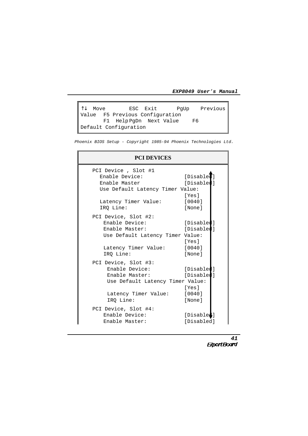↑↓ Move ESC Exit PgUp Previous Value F5 Previous Configuration F1 Help PgDn Next Value F6 Default Configuration

Phoenix BIOS Setup - Copyright 1985-94 Phoenix Technologies Ltd.

| <b>PCI DEVICES</b>                                                                           |                                   |
|----------------------------------------------------------------------------------------------|-----------------------------------|
| PCI Device, Slot #1<br>Enable Device:<br>Enable Master<br>Use Default Latency Timer Value:   | [Disable]<br>[Disabled]           |
| Latency Timer Value:<br>IRO Line:                                                            | [Yes]<br>[0040]<br>[None]         |
| PCI Device, Slot #2:<br>Enable Device:<br>Enable Master:<br>Use Default Latency Timer Value: | [Disabled]<br>[Disabled]<br>[Yes] |
| Latency Timer Value: [0040]<br>IRO Line:                                                     | [None]                            |
| PCI Device, Slot #3:<br>Enable Device:<br>Enable Master:<br>Use Default Latency Timer Value: | [Disabled]<br>[Disabled]<br>[Yes] |
| Latency Timer Value: [0040]<br>IRQ Line:                                                     | [None]                            |
| PCI Device, Slot #4:<br>Enable Device:<br>Enable Master:                                     | [Disabled]<br>[Disabled]          |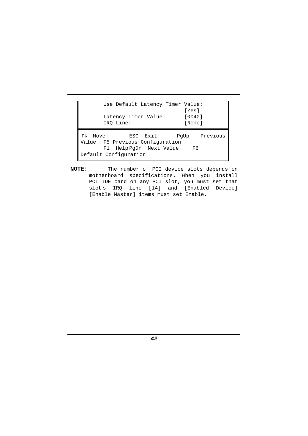| Use Default Latency Timer Value:                                              | [Yes]               |
|-------------------------------------------------------------------------------|---------------------|
| Latency Timer Value:<br>IRQ Line:                                             | $[0040]$<br>[None]  |
| Move<br>ESC Exit<br>Value F5 Previous Configuration<br>F1 HelpPgDn Next Value | PqUp Previous<br>F6 |
| Default Configuration                                                         |                     |

**NOTE**: The number of PCI device slots depends on motherboard specifications. When you install PCI IDE card on any PCI slot, you must set that slot′s IRQ line [14] and [Enabled Device] [Enable Master] items must set Enable.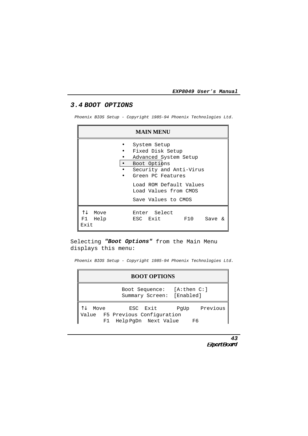# **3.4 BOOT OPTIONS**

Phoenix BIOS Setup - Copyright 1985-94 Phoenix Technologies Ltd.

|                                | <b>MAIN MENU</b>                                                                                                                                                                                     |
|--------------------------------|------------------------------------------------------------------------------------------------------------------------------------------------------------------------------------------------------|
| $\bullet$                      | System Setup<br>Fixed Disk Setup<br>Advanced System Setup<br>Boot Options<br>Security and Anti-Virus<br>Green PC Features<br>Load ROM Default Values<br>Load Values from CMOS<br>Save Values to CMOS |
| ΥJ.<br>Move<br>F1 Help<br>Exit | Enter Select<br>ESC Exit<br>F10<br>Save<br>$\kappa$                                                                                                                                                  |

Selecting **"Boot Options"** from the Main Menu displays this menu:

Phoenix BIOS Setup - Copyright 1985-94 Phoenix Technologies Ltd.

| <b>BOOT OPTIONS</b> |                                                                                      |    |  |
|---------------------|--------------------------------------------------------------------------------------|----|--|
|                     | Boot Sequence: [A:then C:]<br>Summary Screen: [Enabled]                              |    |  |
| Move                | ESC Exit PgUp Previous<br>Value F5 Previous Configuration<br>F1 Help PgDn Next Value | F6 |  |

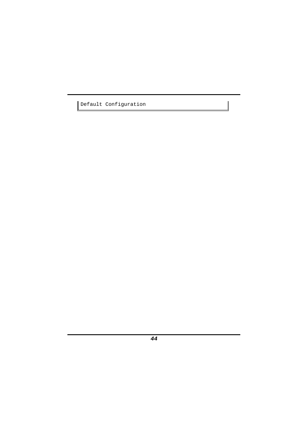Default Configuration

 $\begin{array}{c} \hline \end{array}$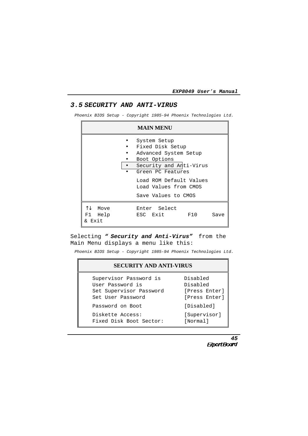#### **3.5 SECURITY AND ANTI-VIRUS**

Phoenix BIOS Setup - Copyright 1985-94 Phoenix Technologies Ltd.

|                                  | <b>MAIN MENU</b>                                                                                                                                                                                     |      |
|----------------------------------|------------------------------------------------------------------------------------------------------------------------------------------------------------------------------------------------------|------|
|                                  | System Setup<br>Fixed Disk Setup<br>Advanced System Setup<br>Boot Options<br>Security and Anti-Virus<br>Green PC Features<br>Load ROM Default Values<br>Load Values from CMOS<br>Save Values to CMOS |      |
| ΛJ.<br>Move<br>F1 Help<br>& Exit | Enter Select<br>ESC Exit<br>F10                                                                                                                                                                      | Save |

## Selecting " **Security and Anti-Virus"** from the Main Menu displays a menu like this:

Phoenix BIOS Setup - Copyright 1985-94 Phoenix Technologies Ltd.

| <b>SECURITY AND ANTI-VIRUS</b> |               |  |  |  |  |
|--------------------------------|---------------|--|--|--|--|
| Supervisor Password is         | Disabled      |  |  |  |  |
| User Password is               | Disabled      |  |  |  |  |
| Set Supervisor Password        | [Press Enter] |  |  |  |  |
| Set User Password              | [Press Enter] |  |  |  |  |
| Password on Boot               | [Disabled]    |  |  |  |  |
| Diskette Access:               | [Supervisor]  |  |  |  |  |
| Fixed Disk Boot Sector:        | [Normal]      |  |  |  |  |

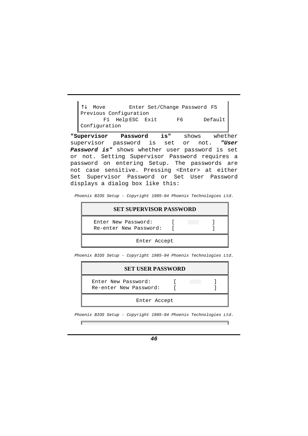↑↓ Move Enter Set/Change Password F5 Previous Configuration F1 HelpESC Exit F6 Default Configuration

**"Supervisor Password is"** shows whether supervisor password is set or not. **"User Password is"** shows whether user password is set or not. Setting Supervisor Password requires a password on entering Setup. The passwords are not case sensitive. Pressing <Enter> at either Set Supervisor Password or Set User Password displays a dialog box like this:

Phoenix BIOS Setup - Copyright 1985-94 Phoenix Technologies Ltd.

| <b>SET SUPERVISOR PASSWORD</b>                |  |  |
|-----------------------------------------------|--|--|
| Enter New Password:<br>Re-enter New Password: |  |  |
| Enter Accept                                  |  |  |

Phoenix BIOS Setup - Copyright 1985-94 Phoenix Technologies Ltd.

| <b>SET USER PASSWORD</b>                      |  |  |  |  |  |
|-----------------------------------------------|--|--|--|--|--|
| Enter New Password:<br>Re-enter New Password: |  |  |  |  |  |
| Enter Accept                                  |  |  |  |  |  |

Phoenix BIOS Setup - Copyright 1985-94 Phoenix Technologies Ltd.

┍═

——————————————<br>————————————————————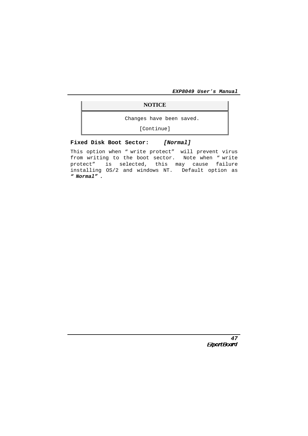## **NOTICE**

Changes have been saved.

[Continue]

#### **Fixed Disk Boot Sector: [Normal]**

This option when " write protect" will prevent virus from writing to the boot sector. Note when " write protect" is selected, this may cause failure installing OS/2 and windows NT. Default option as **" Normal" .**

<sup>47</sup><br>*Expert Board*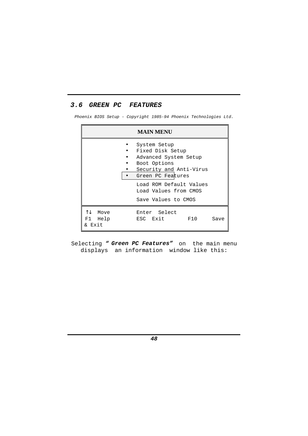# **3.6 GREEN PC FEATURES**

Phoenix BIOS Setup - Copyright 1985-94 Phoenix Technologies Ltd.

|                              | <b>MAIN MENU</b>                                                                                                                                                                                     |      |
|------------------------------|------------------------------------------------------------------------------------------------------------------------------------------------------------------------------------------------------|------|
|                              | System Setup<br>Fixed Disk Setup<br>Advanced System Setup<br>Boot Options<br>Security and Anti-Virus<br>Green PC Features<br>Load ROM Default Values<br>Load Values from CMOS<br>Save Values to CMOS |      |
| 1↓ Move<br>F1 Help<br>& Exit | Enter Select<br>ESC Exit<br>F10                                                                                                                                                                      | Save |

Selecting **" Green PC Features"** on the main menu displays an information window like this: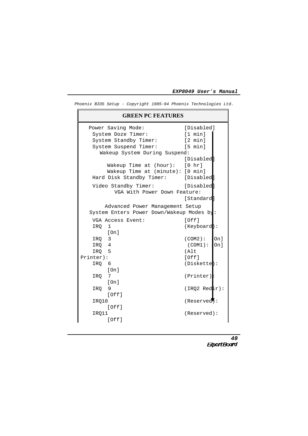| <b>GREEN PC FEATURES</b>                  |                   |
|-------------------------------------------|-------------------|
| Power Saving Mode:                        | [Disabled]        |
| System Doze Timer:                        | [1 min]           |
| System Standby Timer:                     | $[2 \text{ min}]$ |
| System Suspend Timer:                     | [5 min]           |
| Wakeup System During Suspend:             |                   |
|                                           | [Disabled]        |
| Wakeup Time at $(hour): [0 hr]$           |                   |
| Wakeup Time at (minute): [0 min]          |                   |
| Hard Disk Standby Timer: [Disabled        |                   |
| Video Standby Timer:                      | [Disabled]        |
| VGA With Power Down Feature:              |                   |
|                                           | [Standard]        |
| Advanced Power Management Setup           |                   |
| System Enters Power Down/Wakeup Modes by: |                   |
| VGA Access Event:                         | [Off]             |
| $\mathbf{1}$<br>IRO                       | (Keyboard):       |
| [On]                                      |                   |
| IRQ 3                                     | (COM2):<br>On l   |
| IRQ 4                                     | (COM1):<br>On l   |
| IRQ 5                                     | (Alt              |
| Printer):                                 | [Off]             |
| IRQ 6                                     | (Diskette):       |
| [On]                                      |                   |
| 7<br>IRO<br>[On]                          | $(Printer)$ :     |
| 9<br>IRO                                  | (IRQ2 Redir):     |
| [Off]                                     |                   |
| IRQ10                                     | (Reserved):       |
| [Off]                                     |                   |
| IRO11                                     | (Reserved):       |
| [Off]                                     |                   |
|                                           |                   |

Phoenix BIOS Setup - Copyright 1985-94 Phoenix Technologies Ltd.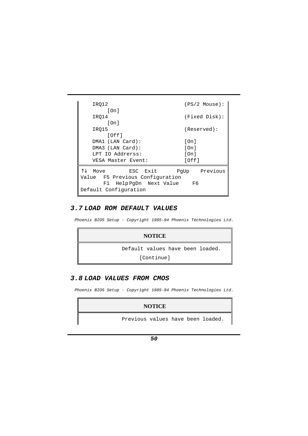```
IRQ12 (PS/2 Mouse):
     [On]
  IRQ14 (Fixed Disk):
     [On]
  IRQ15 (Reserved):
     [Off]
  DMA1 (LAN Card): [On]
  DMA3 (LAN Card): [On]
  LPT IO Addrerss: [On]
  VESA Master Event: [Off]
↑↓ Move ESC Exit PgUp Previous
Value F5 Previous Configuration
    F1 Help PgDn Next Value F6
Default Configuration
```
#### **3.7 LOAD ROM DEFAULT VALUES**

Phoenix BIOS Setup - Copyright 1985-94 Phoenix Technologies Ltd.

| <b>NOTICE</b>                    |
|----------------------------------|
| Default values have been loaded. |
| [Continue]                       |

#### **3.8 LOAD VALUES FROM CMOS**

Phoenix BIOS Setup - Copyright 1985-94 Phoenix Technologies Ltd.

#### **NOTICE**

Previous values have been loaded.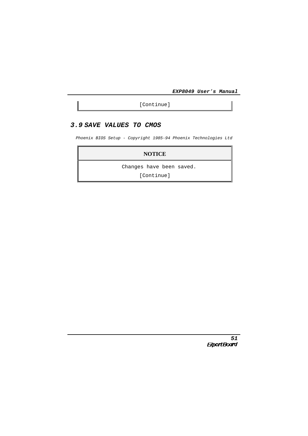[Continue]

## **3.9 SAVE VALUES TO CMOS**

Phoenix BIOS Setup - Copyright 1985-94 Phoenix Technologies Ltd

## **NOTICE**

Changes have been saved.

[Continue]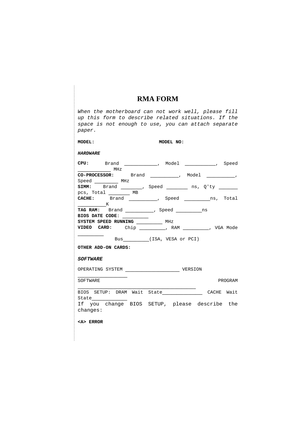# **RMA FORM**

| When the motherboard can not work well, please fill<br>up this form to describe related situations. If the<br>space is not enough to use, you can attach separate<br>paper. |                                 |           |         |
|-----------------------------------------------------------------------------------------------------------------------------------------------------------------------------|---------------------------------|-----------|---------|
| <b>MODEL:</b>                                                                                                                                                               |                                 | MODEL NO: |         |
| <b>HARDWARE</b>                                                                                                                                                             |                                 |           |         |
| <b>CPU:</b> Brand _______________, Model _____________, Speed<br>MHz                                                                                                        |                                 |           |         |
| $CO-PROCESSOR:$ Brand __________, Model _________,                                                                                                                          |                                 |           |         |
| Speed ______ MHz                                                                                                                                                            |                                 |           |         |
| SIMM: Brand _______, Speed _________ ns, Q'ty _______                                                                                                                       |                                 |           |         |
| pcs, Total __________ MB                                                                                                                                                    |                                 |           |         |
| CACHE: Brand __________, Speed _________ns, Total<br>$\mathbb{R}$                                                                                                           |                                 |           |         |
| TAG RAM: Brand ___________, Speed __________ns                                                                                                                              |                                 |           |         |
| BIOS DATE CODE:                                                                                                                                                             |                                 |           |         |
| SYSTEM SPEED RUNNING ____________ MHz                                                                                                                                       |                                 |           |         |
| VIDEO CARD: Chip ________, RAM ________, VGA Mode                                                                                                                           |                                 |           |         |
|                                                                                                                                                                             | Bus__________(ISA, VESA or PCI) |           |         |
| OTHER ADD-ON CARDS:                                                                                                                                                         |                                 |           |         |
| <i><b>SOFTWARE</b></i>                                                                                                                                                      |                                 |           |         |
| OPERATING SYSTEM VERSION                                                                                                                                                    |                                 |           |         |
| SOFTWARE                                                                                                                                                                    |                                 |           | PROGRAM |
| BIOS SETUP: DRAM Wait State CACHE Wait                                                                                                                                      |                                 |           |         |
| If you change BIOS SETUP, please describe the<br>changes:                                                                                                                   |                                 |           |         |
| <a> ERROR</a>                                                                                                                                                               |                                 |           |         |